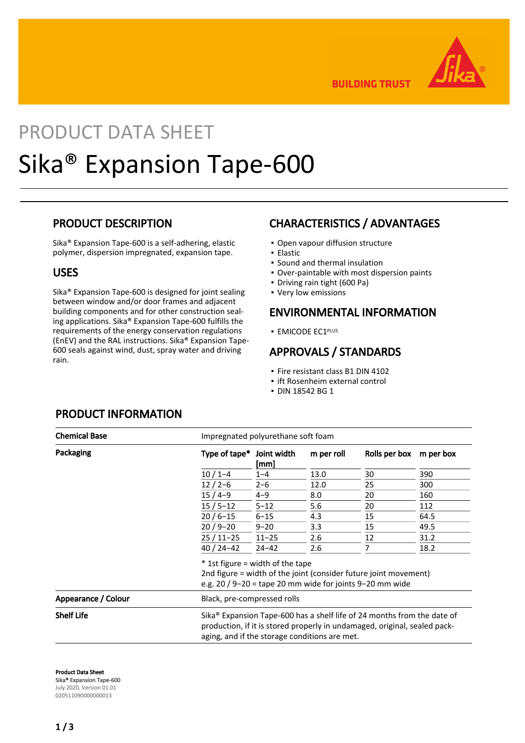

**BUILDING TRUST** 

# PRODUCT DATA SHEET Sika® Expansion Tape-600

### PRODUCT DESCRIPTION

Sika® Expansion Tape-600 is a self-adhering, elastic polymer, dispersion impregnated, expansion tape.

#### USES

Sika® Expansion Tape-600 is designed for joint sealing between window and/or door frames and adjacent building components and for other construction sealing applications. Sika® Expansion Tape-600 fulfills the requirements of the energy conservation regulations (EnEV) and the RAL instructions. Sika® Expansion Tape-600 seals against wind, dust, spray water and driving rain.

# CHARACTERISTICS / ADVANTAGES

- Open vapour diffusion structure
- Elastic
- Sound and thermal insulation
- Over-paintable with most dispersion paints
- Driving rain tight (600 Pa)
- Very low emissions

#### ENVIRONMENTAL INFORMATION

**EMICODE EC1PLUS** 

## APPROVALS / STANDARDS

- Fire resistant class B1 DIN 4102
- ift Rosenheim external control
- DIN 18542 BG 1

| <b>Chemical Base</b> | Impregnated polyurethane soft foam                                                                                                                                                                                |                     |            |               |           |  |
|----------------------|-------------------------------------------------------------------------------------------------------------------------------------------------------------------------------------------------------------------|---------------------|------------|---------------|-----------|--|
| Packaging            | Type of tape*                                                                                                                                                                                                     | Joint width<br>[mm] | m per roll | Rolls per box | m per box |  |
|                      | $10/1 - 4$                                                                                                                                                                                                        | $1 - 4$             | 13.0       | 30            | 390       |  |
|                      | $12/2-6$                                                                                                                                                                                                          | $2 - 6$             | 12.0       | 25            | 300       |  |
|                      | $15/4-9$                                                                                                                                                                                                          | $4 - 9$             | 8.0        | 20            | 160       |  |
|                      | $15/5 - 12$                                                                                                                                                                                                       | $5 - 12$            | 5.6        | 20            | 112       |  |
|                      | $20/6 - 15$                                                                                                                                                                                                       | $6 - 15$            | 4.3        | 15            | 64.5      |  |
|                      | $20/9 - 20$                                                                                                                                                                                                       | $9 - 20$            | 3.3        | 15            | 49.5      |  |
|                      | $25/11-25$                                                                                                                                                                                                        | $11 - 25$           | 2.6        | 12            | 31.2      |  |
|                      | $40/24 - 42$                                                                                                                                                                                                      | $24 - 42$           | 2.6        | 7             | 18.2      |  |
|                      | * 1st figure = width of the tape<br>2nd figure = width of the joint (consider future joint movement)<br>e.g. $20 / 9 - 20 =$ tape 20 mm wide for joints 9-20 mm wide                                              |                     |            |               |           |  |
| Appearance / Colour  | Black, pre-compressed rolls                                                                                                                                                                                       |                     |            |               |           |  |
| <b>Shelf Life</b>    | Sika <sup>®</sup> Expansion Tape-600 has a shelf life of 24 months from the date of<br>production, if it is stored properly in undamaged, original, sealed pack-<br>aging, and if the storage conditions are met. |                     |            |               |           |  |

## PRODUCT INFORMATION

Product Data Sheet Sika® Expansion Tape-600

July 2020, Version 01.01 020511090000000013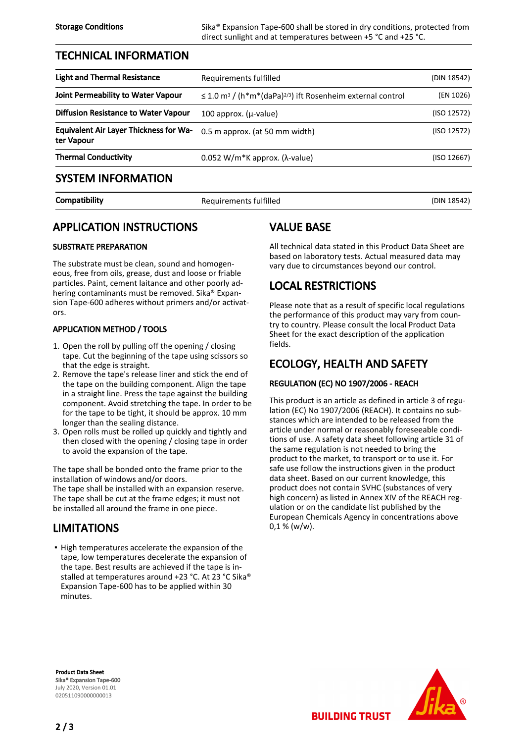Storage Conditions Sika® Expansion Tape-600 shall be stored in dry conditions, protected from direct sunlight and at temperatures between +5 °C and +25 °C.

#### TECHNICAL INFORMATION

| <b>Light and Thermal Resistance</b>                         | Requirements fulfilled                                                                  | (DIN 18542) |
|-------------------------------------------------------------|-----------------------------------------------------------------------------------------|-------------|
| Joint Permeability to Water Vapour                          | $\leq$ 1.0 m <sup>3</sup> / (h*m*(daPa) <sup>2/3</sup> ) ift Rosenheim external control | (EN 1026)   |
| Diffusion Resistance to Water Vapour                        | 100 approx. $(\mu$ -value)                                                              | (ISO 12572) |
| <b>Equivalent Air Layer Thickness for Wa-</b><br>ter Vapour | 0.5 m approx. (at 50 mm width)                                                          | (ISO 12572) |
| <b>Thermal Conductivity</b>                                 | $0.052$ W/m <sup>*</sup> K approx. (λ-value)                                            | (ISO 12667) |
| <b>SYSTEM INFORMATION</b>                                   |                                                                                         |             |

Compatibility **Compatibility** Requirements fulfilled **Compatibility** (DIN 18542)

# APPLICATION INSTRUCTIONS

#### SUBSTRATE PREPARATION

The substrate must be clean, sound and homogeneous, free from oils, grease, dust and loose or friable particles. Paint, cement laitance and other poorly adhering contaminants must be removed. Sika® Expansion Tape-600 adheres without primers and/or activators.

#### APPLICATION METHOD / TOOLS

- 1. Open the roll by pulling off the opening / closing tape. Cut the beginning of the tape using scissors so that the edge is straight.
- 2. Remove the tape's release liner and stick the end of the tape on the building component. Align the tape in a straight line. Press the tape against the building component. Avoid stretching the tape. In order to be for the tape to be tight, it should be approx. 10 mm longer than the sealing distance.
- 3. Open rolls must be rolled up quickly and tightly and then closed with the opening / closing tape in order to avoid the expansion of the tape.

The tape shall be bonded onto the frame prior to the installation of windows and/or doors.

The tape shall be installed with an expansion reserve. The tape shall be cut at the frame edges; it must not be installed all around the frame in one piece.

# LIMITATIONS

**.** High temperatures accelerate the expansion of the tape, low temperatures decelerate the expansion of the tape. Best results are achieved if the tape is installed at temperatures around +23 °C. At 23 °C Sika® Expansion Tape-600 has to be applied within 30 minutes.

# VALUE BASE

All technical data stated in this Product Data Sheet are based on laboratory tests. Actual measured data may vary due to circumstances beyond our control.

# LOCAL RESTRICTIONS

Please note that as a result of specific local regulations the performance of this product may vary from country to country. Please consult the local Product Data Sheet for the exact description of the application fields.

# ECOLOGY, HEALTH AND SAFETY

#### REGULATION (EC) NO 1907/2006 - REACH

This product is an article as defined in article 3 of regulation (EC) No 1907/2006 (REACH). It contains no substances which are intended to be released from the article under normal or reasonably foreseeable conditions of use. A safety data sheet following article 31 of the same regulation is not needed to bring the product to the market, to transport or to use it. For safe use follow the instructions given in the product data sheet. Based on our current knowledge, this product does not contain SVHC (substances of very high concern) as listed in Annex XIV of the REACH regulation or on the candidate list published by the European Chemicals Agency in concentrations above  $0,1 %$  (w/w).

**BUILDING TRUST** 

Product Data Sheet Sika® Expansion Tape-600 July 2020, Version 01.01 020511090000000013